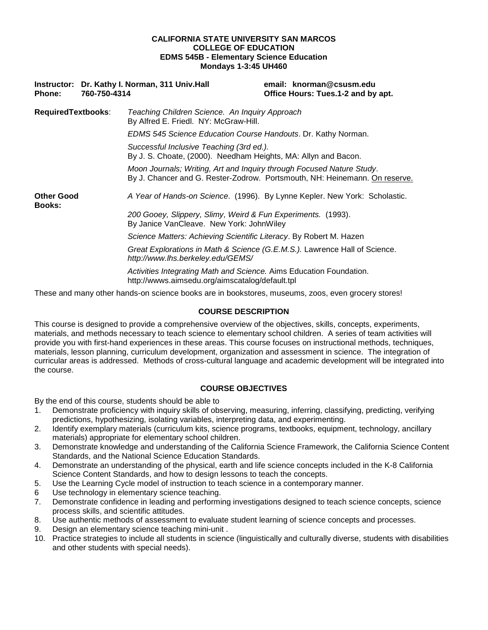#### **CALIFORNIA STATE UNIVERSITY SAN MARCOS COLLEGE OF EDUCATION EDMS 545B - Elementary Science Education Mondays 1-3:45 UH460**

| <b>Phone:</b>                      | Instructor: Dr. Kathy I. Norman, 311 Univ. Hall<br>760-750-4314                                                        | email: knorman@csusm.edu<br>Office Hours: Tues.1-2 and by apt.                                                                                      |  |  |  |
|------------------------------------|------------------------------------------------------------------------------------------------------------------------|-----------------------------------------------------------------------------------------------------------------------------------------------------|--|--|--|
| <b>RequiredTextbooks:</b>          | Teaching Children Science. An Inquiry Approach<br>By Alfred E. Friedl. NY: McGraw-Hill.                                |                                                                                                                                                     |  |  |  |
|                                    |                                                                                                                        | EDMS 545 Science Education Course Handouts. Dr. Kathy Norman.                                                                                       |  |  |  |
|                                    |                                                                                                                        | Successful Inclusive Teaching (3rd ed.).<br>By J. S. Choate, (2000). Needham Heights, MA: Allyn and Bacon.                                          |  |  |  |
|                                    |                                                                                                                        | Moon Journals; Writing, Art and Inquiry through Focused Nature Study.<br>By J. Chancer and G. Rester-Zodrow. Portsmouth, NH: Heinemann. On reserve. |  |  |  |
| <b>Other Good</b><br><b>Books:</b> |                                                                                                                        | A Year of Hands-on Science. (1996). By Lynne Kepler. New York: Scholastic.                                                                          |  |  |  |
|                                    | 200 Gooey, Slippery, Slimy, Weird & Fun Experiments. (1993).<br>By Janice VanCleave. New York: JohnWiley               |                                                                                                                                                     |  |  |  |
|                                    | Science Matters: Achieving Scientific Literacy. By Robert M. Hazen                                                     |                                                                                                                                                     |  |  |  |
|                                    | http://www.lhs.berkeley.edu/GEMS/                                                                                      | Great Explorations in Math & Science (G.E.M.S.). Lawrence Hall of Science.                                                                          |  |  |  |
|                                    | Activities Integrating Math and Science. Aims Education Foundation.<br>http://wwws.aimsedu.org/aimscatalog/default.tpl |                                                                                                                                                     |  |  |  |

These and many other hands-on science books are in bookstores, museums, zoos, even grocery stores!

# **COURSE DESCRIPTION**

This course is designed to provide a comprehensive overview of the objectives, skills, concepts, experiments, materials, and methods necessary to teach science to elementary school children. A series of team activities will provide you with first-hand experiences in these areas. This course focuses on instructional methods, techniques, materials, lesson planning, curriculum development, organization and assessment in science. The integration of curricular areas is addressed. Methods of cross-cultural language and academic development will be integrated into the course.

# **COURSE OBJECTIVES**

By the end of this course, students should be able to

- 1. Demonstrate proficiency with inquiry skills of observing, measuring, inferring, classifying, predicting, verifying predictions, hypothesizing, isolating variables, interpreting data, and experimenting.
- 2. Identify exemplary materials (curriculum kits, science programs, textbooks, equipment, technology, ancillary materials) appropriate for elementary school children.
- 3. Demonstrate knowledge and understanding of the California Science Framework, the California Science Content Standards, and the National Science Education Standards.
- 4. Demonstrate an understanding of the physical, earth and life science concepts included in the K-8 California Science Content Standards, and how to design lessons to teach the concepts.
- 5. Use the Learning Cycle model of instruction to teach science in a contemporary manner.
- 6 Use technology in elementary science teaching.
- 7. Demonstrate confidence in leading and performing investigations designed to teach science concepts, science process skills, and scientific attitudes.
- 8. Use authentic methods of assessment to evaluate student learning of science concepts and processes.
- 9. Design an elementary science teaching mini-unit .
- 10. Practice strategies to include all students in science (linguistically and culturally diverse, students with disabilities and other students with special needs).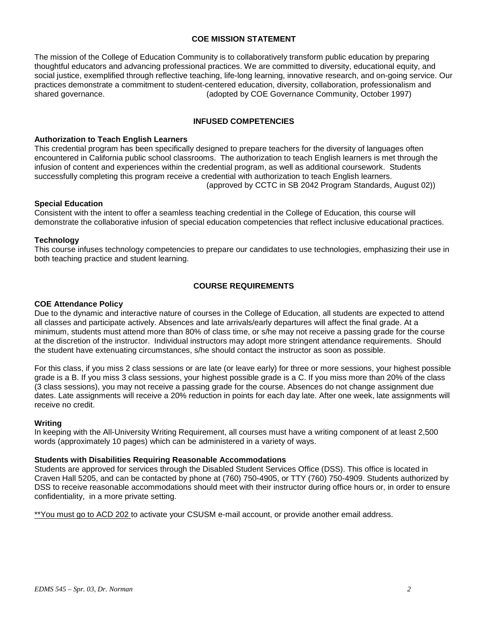## **COE MISSION STATEMENT**

The mission of the College of Education Community is to collaboratively transform public education by preparing thoughtful educators and advancing professional practices. We are committed to diversity, educational equity, and social justice, exemplified through reflective teaching, life-long learning, innovative research, and on-going service. Our practices demonstrate a commitment to student-centered education, diversity, collaboration, professionalism and shared governance. (adopted by COE Governance Community, October 1997)

#### **INFUSED COMPETENCIES**

#### **Authorization to Teach English Learners**

This credential program has been specifically designed to prepare teachers for the diversity of languages often encountered in California public school classrooms. The authorization to teach English learners is met through the infusion of content and experiences within the credential program, as well as additional coursework. Students successfully completing this program receive a credential with authorization to teach English learners. (approved by CCTC in SB 2042 Program Standards, August 02))

#### **Special Education**

Consistent with the intent to offer a seamless teaching credential in the College of Education, this course will demonstrate the collaborative infusion of special education competencies that reflect inclusive educational practices.

#### **Technology**

This course infuses technology competencies to prepare our candidates to use technologies, emphasizing their use in both teaching practice and student learning.

# **COURSE REQUIREMENTS**

#### **COE Attendance Policy**

Due to the dynamic and interactive nature of courses in the College of Education, all students are expected to attend all classes and participate actively. Absences and late arrivals/early departures will affect the final grade. At a minimum, students must attend more than 80% of class time, or s/he may not receive a passing grade for the course at the discretion of the instructor. Individual instructors may adopt more stringent attendance requirements. Should the student have extenuating circumstances, s/he should contact the instructor as soon as possible.

For this class, if you miss 2 class sessions or are late (or leave early) for three or more sessions, your highest possible grade is a B. If you miss 3 class sessions, your highest possible grade is a C. If you miss more than 20% of the class (3 class sessions), you may not receive a passing grade for the course. Absences do not change assignment due dates. Late assignments will receive a 20% reduction in points for each day late. After one week, late assignments will receive no credit.

#### **Writing**

In keeping with the All-University Writing Requirement, all courses must have a writing component of at least 2,500 words (approximately 10 pages) which can be administered in a variety of ways.

#### **Students with Disabilities Requiring Reasonable Accommodations**

Students are approved for services through the Disabled Student Services Office (DSS). This office is located in Craven Hall 5205, and can be contacted by phone at (760) 750-4905, or TTY (760) 750-4909. Students authorized by DSS to receive reasonable accommodations should meet with their instructor during office hours or, in order to ensure confidentiality, in a more private setting.

\*\*You must go to ACD 202 to activate your CSUSM e-mail account, or provide another email address.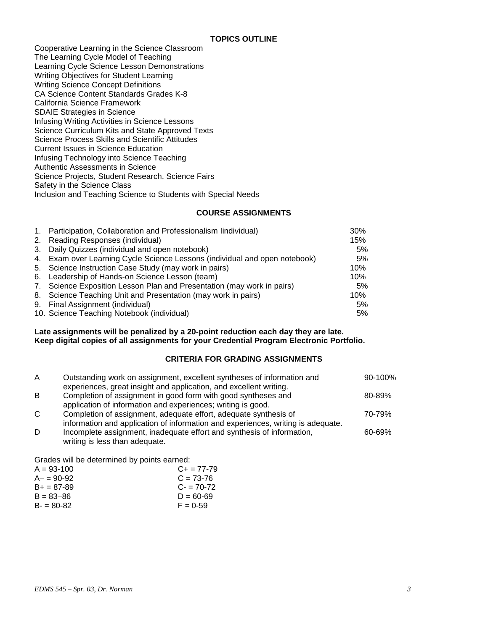Cooperative Learning in the Science Classroom The Learning Cycle Model of Teaching Learning Cycle Science Lesson Demonstrations Writing Objectives for Student Learning Writing Science Concept Definitions CA Science Content Standards Grades K-8 California Science Framework SDAIE Strategies in Science Infusing Writing Activities in Science Lessons Science Curriculum Kits and State Approved Texts Science Process Skills and Scientific Attitudes Current Issues in Science Education Infusing Technology into Science Teaching Authentic Assessments in Science Science Projects, Student Research, Science Fairs Safety in the Science Class Inclusion and Teaching Science to Students with Special Needs

## **COURSE ASSIGNMENTS**

| 1. Participation, Collaboration and Professionalism lindividual)           | 30% |
|----------------------------------------------------------------------------|-----|
| 2. Reading Responses (individual)                                          | 15% |
| 3. Daily Quizzes (individual and open notebook)                            | 5%  |
| 4. Exam over Learning Cycle Science Lessons (individual and open notebook) | 5%  |
| 5. Science Instruction Case Study (may work in pairs)                      | 10% |
| 6. Leadership of Hands-on Science Lesson (team)                            | 10% |
| 7. Science Exposition Lesson Plan and Presentation (may work in pairs)     | 5%  |
| 8. Science Teaching Unit and Presentation (may work in pairs)              | 10% |
| 9. Final Assignment (individual)                                           | 5%  |
| 10. Science Teaching Notebook (individual)                                 | 5%  |

**Late assignments will be penalized by a 20-point reduction each day they are late. Keep digital copies of all assignments for your Credential Program Electronic Portfolio.**

# **CRITERIA FOR GRADING ASSIGNMENTS**

| A            | Outstanding work on assignment, excellent syntheses of information and<br>experiences, great insight and application, and excellent writing.         | 90-100% |
|--------------|------------------------------------------------------------------------------------------------------------------------------------------------------|---------|
| B            | Completion of assignment in good form with good syntheses and<br>application of information and experiences; writing is good.                        | 80-89%  |
| $\mathsf{C}$ | Completion of assignment, adequate effort, adequate synthesis of<br>information and application of information and experiences, writing is adequate. | 70-79%  |
| D            | Incomplete assignment, inadequate effort and synthesis of information,<br>writing is less than adequate.                                             | 60-69%  |

Grades will be determined by points earned:

| $A = 93 - 100$ | $C_{+}$ = 77-79 |
|----------------|-----------------|
| $A - 90 - 92$  | $C = 73-76$     |
| $B+ = 87-89$   | $C = 70-72$     |
| $B = 83 - 86$  | $D = 60 - 69$   |
| $B - 80 - 82$  | $F = 0.59$      |
|                |                 |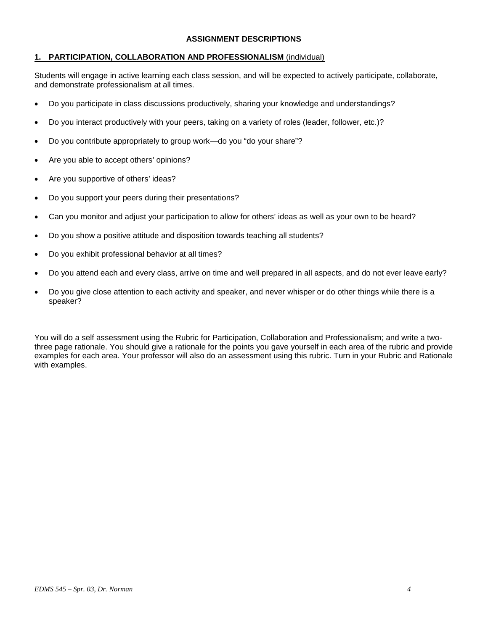## **ASSIGNMENT DESCRIPTIONS**

# **1. PARTICIPATION, COLLABORATION AND PROFESSIONALISM** (individual)

Students will engage in active learning each class session, and will be expected to actively participate, collaborate, and demonstrate professionalism at all times.

- Do you participate in class discussions productively, sharing your knowledge and understandings?
- Do you interact productively with your peers, taking on a variety of roles (leader, follower, etc.)?
- Do you contribute appropriately to group work—do you "do your share"?
- Are you able to accept others' opinions?
- Are you supportive of others' ideas?
- Do you support your peers during their presentations?
- Can you monitor and adjust your participation to allow for others' ideas as well as your own to be heard?
- Do you show a positive attitude and disposition towards teaching all students?
- Do you exhibit professional behavior at all times?
- Do you attend each and every class, arrive on time and well prepared in all aspects, and do not ever leave early?
- Do you give close attention to each activity and speaker, and never whisper or do other things while there is a speaker?

You will do a self assessment using the Rubric for Participation, Collaboration and Professionalism; and write a twothree page rationale. You should give a rationale for the points you gave yourself in each area of the rubric and provide examples for each area. Your professor will also do an assessment using this rubric. Turn in your Rubric and Rationale with examples.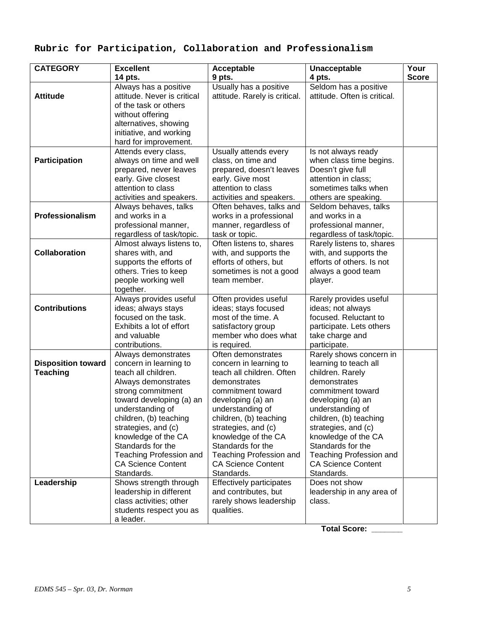# **Rubric for Participation, Collaboration and Professionalism**

| <b>CATEGORY</b>                                            | <b>Excellent</b>                                                                                                                                                                                                                                                                                                                                              | Acceptable                                                                                                                                                                                                                                                                                                                                                           | Unacceptable                                                                                                                                                                                                                                                                                                                                  | Your         |
|------------------------------------------------------------|---------------------------------------------------------------------------------------------------------------------------------------------------------------------------------------------------------------------------------------------------------------------------------------------------------------------------------------------------------------|----------------------------------------------------------------------------------------------------------------------------------------------------------------------------------------------------------------------------------------------------------------------------------------------------------------------------------------------------------------------|-----------------------------------------------------------------------------------------------------------------------------------------------------------------------------------------------------------------------------------------------------------------------------------------------------------------------------------------------|--------------|
|                                                            | 14 pts.                                                                                                                                                                                                                                                                                                                                                       | 9 pts.                                                                                                                                                                                                                                                                                                                                                               | 4 pts.                                                                                                                                                                                                                                                                                                                                        | <b>Score</b> |
| <b>Attitude</b>                                            | Always has a positive<br>attitude. Never is critical<br>of the task or others<br>without offering                                                                                                                                                                                                                                                             | Usually has a positive<br>attitude. Rarely is critical.                                                                                                                                                                                                                                                                                                              | Seldom has a positive<br>attitude. Often is critical.                                                                                                                                                                                                                                                                                         |              |
|                                                            | alternatives, showing<br>initiative, and working<br>hard for improvement.                                                                                                                                                                                                                                                                                     |                                                                                                                                                                                                                                                                                                                                                                      |                                                                                                                                                                                                                                                                                                                                               |              |
| Participation                                              | Attends every class,<br>always on time and well<br>prepared, never leaves<br>early. Give closest<br>attention to class<br>activities and speakers.                                                                                                                                                                                                            | Usually attends every<br>class, on time and<br>prepared, doesn't leaves<br>early. Give most<br>attention to class<br>activities and speakers.                                                                                                                                                                                                                        | Is not always ready<br>when class time begins.<br>Doesn't give full<br>attention in class;<br>sometimes talks when<br>others are speaking.                                                                                                                                                                                                    |              |
| Professionalism                                            | Always behaves, talks<br>and works in a<br>professional manner,<br>regardless of task/topic.                                                                                                                                                                                                                                                                  | Often behaves, talks and<br>works in a professional<br>manner, regardless of<br>task or topic.                                                                                                                                                                                                                                                                       | Seldom behaves, talks<br>and works in a<br>professional manner,<br>regardless of task/topic.                                                                                                                                                                                                                                                  |              |
| <b>Collaboration</b>                                       | Almost always listens to,<br>shares with, and<br>supports the efforts of<br>others. Tries to keep<br>people working well<br>together.                                                                                                                                                                                                                         | Often listens to, shares<br>with, and supports the<br>efforts of others, but<br>sometimes is not a good<br>team member.                                                                                                                                                                                                                                              | Rarely listens to, shares<br>with, and supports the<br>efforts of others. Is not<br>always a good team<br>player.                                                                                                                                                                                                                             |              |
| <b>Contributions</b>                                       | Always provides useful<br>ideas; always stays<br>focused on the task.<br>Exhibits a lot of effort<br>and valuable<br>contributions.                                                                                                                                                                                                                           | Often provides useful<br>ideas; stays focused<br>most of the time. A<br>satisfactory group<br>member who does what<br>is required.                                                                                                                                                                                                                                   | Rarely provides useful<br>ideas; not always<br>focused. Reluctant to<br>participate. Lets others<br>take charge and<br>participate.                                                                                                                                                                                                           |              |
| <b>Disposition toward</b><br><b>Teaching</b><br>Leadership | Always demonstrates<br>concern in learning to<br>teach all children.<br>Always demonstrates<br>strong commitment<br>toward developing (a) an<br>understanding of<br>children, (b) teaching<br>strategies, and (c)<br>knowledge of the CA<br>Standards for the<br>Teaching Profession and<br><b>CA Science Content</b><br>Standards.<br>Shows strength through | Often demonstrates<br>concern in learning to<br>teach all children. Often<br>demonstrates<br>commitment toward<br>developing (a) an<br>understanding of<br>children, (b) teaching<br>strategies, and (c)<br>knowledge of the CA<br>Standards for the<br><b>Teaching Profession and</b><br><b>CA Science Content</b><br>Standards.<br><b>Effectively participates</b> | Rarely shows concern in<br>learning to teach all<br>children. Rarely<br>demonstrates<br>commitment toward<br>developing (a) an<br>understanding of<br>children, (b) teaching<br>strategies, and (c)<br>knowledge of the CA<br>Standards for the<br><b>Teaching Profession and</b><br><b>CA Science Content</b><br>Standards.<br>Does not show |              |
|                                                            | leadership in different<br>class activities; other<br>students respect you as<br>a leader.                                                                                                                                                                                                                                                                    | and contributes, but<br>rarely shows leadership<br>qualities.                                                                                                                                                                                                                                                                                                        | leadership in any area of<br>class.                                                                                                                                                                                                                                                                                                           |              |

**Total Score: \_\_\_\_\_\_\_**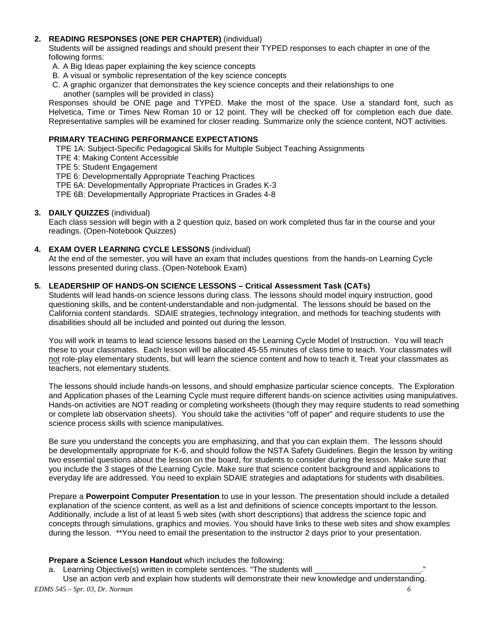# **2. READING RESPONSES (ONE PER CHAPTER)** (individual)

Students will be assigned readings and should present their TYPED responses to each chapter in one of the following forms:

- A. A Big Ideas paper explaining the key science concepts
- B. A visual or symbolic representation of the key science concepts
- C. A graphic organizer that demonstrates the key science concepts and their relationships to one another (samples will be provided in class)

Responses should be ONE page and TYPED. Make the most of the space. Use a standard font, such as Helvetica, Time or Times New Roman 10 or 12 point. They will be checked off for completion each due date. Representative samples will be examined for closer reading. Summarize only the science content, NOT activities.

#### **PRIMARY TEACHING PERFORMANCE EXPECTATIONS**

TPE 1A: Subject-Specific Pedagogical Skills for Multiple Subject Teaching Assignments

TPE 4: Making Content Accessible

TPE 5: Student Engagement

TPE 6: Developmentally Appropriate Teaching Practices

TPE 6A: Developmentally Appropriate Practices in Grades K-3

TPE 6B: Developmentally Appropriate Practices in Grades 4-8

#### **3. DAILY QUIZZES** (individual)

Each class session will begin with a 2 question quiz, based on work completed thus far in the course and your readings. (Open-Notebook Quizzes)

#### **4. EXAM OVER LEARNING CYCLE LESSONS** (individual)

At the end of the semester, you will have an exam that includes questions from the hands-on Learning Cycle lessons presented during class. (Open-Notebook Exam)

#### **5. LEADERSHIP OF HANDS-ON SCIENCE LESSONS – Critical Assessment Task (CATs)**

Students will lead hands-on science lessons during class. The lessons should model inquiry instruction, good questioning skills, and be content-understandable and non-judgmental. The lessons should be based on the California content standards. SDAIE strategies, technology integration, and methods for teaching students with disabilities should all be included and pointed out during the lesson.

You will work in teams to lead science lessons based on the Learning Cycle Model of Instruction. You will teach these to your classmates. Each lesson will be allocated 45-55 minutes of class time to teach. Your classmates will not role-play elementary students, but will learn the science content and how to teach it. Treat your classmates as teachers, not elementary students.

The lessons should include hands-on lessons, and should emphasize particular science concepts. The Exploration and Application phases of the Learning Cycle must require different hands-on science activities using manipulatives. Hands-on activities are NOT reading or completing worksheets (though they may require students to read something or complete lab observation sheets). You should take the activities "off of paper" and require students to use the science process skills with science manipulatives.

Be sure you understand the concepts you are emphasizing, and that you can explain them. The lessons should be developmentally appropriate for K-6, and should follow the NSTA Safety Guidelines. Begin the lesson by writing two essential questions about the lesson on the board, for students to consider during the lesson. Make sure that you include the 3 stages of the Learning Cycle. Make sure that science content background and applications to everyday life are addressed. You need to explain SDAIE strategies and adaptations for students with disabilities.

Prepare a **Powerpoint Computer Presentation** to use in your lesson. The presentation should include a detailed explanation of the science content, as well as a list and definitions of science concepts important to the lesson. Additionally, include a list of at least 5 web sites (with short descriptions) that address the science topic and concepts through simulations, graphics and movies. You should have links to these web sites and show examples during the lesson. \*\*You need to email the presentation to the instructor 2 days prior to your presentation.

#### **Prepare a Science Lesson Handout** which includes the following:

a. Learning Objective(s) written in complete sentences. "The students will

*EDMS 545 – Spr. 03, Dr. Norman 6* Use an action verb and explain how students will demonstrate their new knowledge and understanding.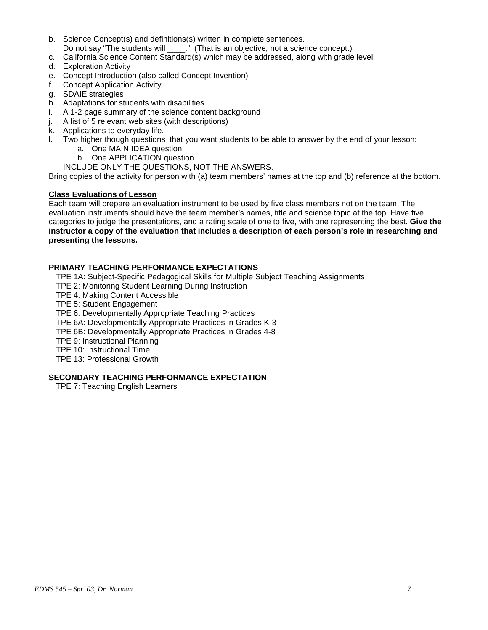- b. Science Concept(s) and definitions(s) written in complete sentences.
- Do not say "The students will \_\_\_\_." (That is an objective, not a science concept.)
- c. California Science Content Standard(s) which may be addressed, along with grade level.
- d. Exploration Activity
- e. Concept Introduction (also called Concept Invention)
- f. Concept Application Activity
- g. SDAIE strategies
- h. Adaptations for students with disabilities
- i. A 1-2 page summary of the science content background
- j. A list of 5 relevant web sites (with descriptions)
- k. Applications to everyday life.
- l. Two higher though questions that you want students to be able to answer by the end of your lesson:
	- a. One MAIN IDEA question
	- b. One APPLICATION question
	- INCLUDE ONLY THE QUESTIONS, NOT THE ANSWERS.

Bring copies of the activity for person with (a) team members' names at the top and (b) reference at the bottom.

# **Class Evaluations of Lesson**

Each team will prepare an evaluation instrument to be used by five class members not on the team, The evaluation instruments should have the team member's names, title and science topic at the top. Have five categories to judge the presentations, and a rating scale of one to five, with one representing the best. **Give the instructor a copy of the evaluation that includes a description of each person's role in researching and presenting the lessons.** 

# **PRIMARY TEACHING PERFORMANCE EXPECTATIONS**

TPE 1A: Subject-Specific Pedagogical Skills for Multiple Subject Teaching Assignments

- TPE 2: Monitoring Student Learning During Instruction
- TPE 4: Making Content Accessible
- TPE 5: Student Engagement
- TPE 6: Developmentally Appropriate Teaching Practices
- TPE 6A: Developmentally Appropriate Practices in Grades K-3
- TPE 6B: Developmentally Appropriate Practices in Grades 4-8
- TPE 9: Instructional Planning
- TPE 10: Instructional Time
- TPE 13: Professional Growth

# **SECONDARY TEACHING PERFORMANCE EXPECTATION**

TPE 7: Teaching English Learners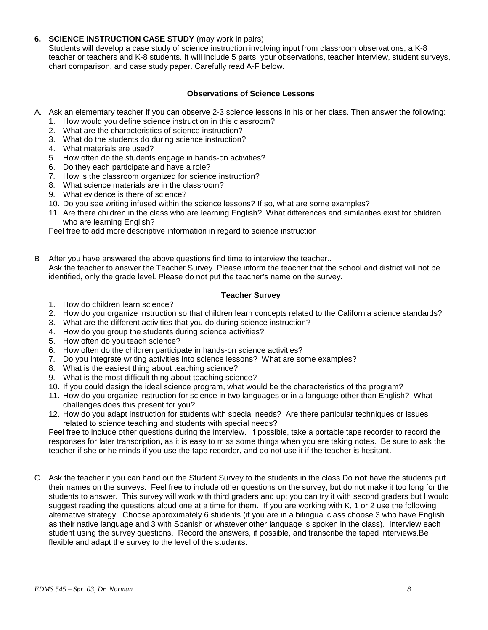## **6. SCIENCE INSTRUCTION CASE STUDY** (may work in pairs)

Students will develop a case study of science instruction involving input from classroom observations, a K-8 teacher or teachers and K-8 students. It will include 5 parts: your observations, teacher interview, student surveys, chart comparison, and case study paper. Carefully read A-F below.

## **Observations of Science Lessons**

- A. Ask an elementary teacher if you can observe 2-3 science lessons in his or her class. Then answer the following:
	- 1. How would you define science instruction in this classroom?
	- 2. What are the characteristics of science instruction?
	- 3. What do the students do during science instruction?
	- 4. What materials are used?
	- 5. How often do the students engage in hands-on activities?
	- 6. Do they each participate and have a role?
	- 7. How is the classroom organized for science instruction?
	- 8. What science materials are in the classroom?
	- 9. What evidence is there of science?
	- 10. Do you see writing infused within the science lessons? If so, what are some examples?
	- 11. Are there children in the class who are learning English? What differences and similarities exist for children who are learning English?

Feel free to add more descriptive information in regard to science instruction.

B After you have answered the above questions find time to interview the teacher.. Ask the teacher to answer the Teacher Survey. Please inform the teacher that the school and district will not be identified, only the grade level. Please do not put the teacher's name on the survey.

## **Teacher Survey**

- 1. How do children learn science?
- 2. How do you organize instruction so that children learn concepts related to the California science standards?
- 3. What are the different activities that you do during science instruction?
- 4. How do you group the students during science activities?
- 5. How often do you teach science?
- 6. How often do the children participate in hands-on science activities?
- 7. Do you integrate writing activities into science lessons? What are some examples?
- 8. What is the easiest thing about teaching science?
- 9. What is the most difficult thing about teaching science?
- 10. If you could design the ideal science program, what would be the characteristics of the program?
- 11. How do you organize instruction for science in two languages or in a language other than English? What challenges does this present for you?
- 12. How do you adapt instruction for students with special needs? Are there particular techniques or issues related to science teaching and students with special needs?

Feel free to include other questions during the interview. If possible, take a portable tape recorder to record the responses for later transcription, as it is easy to miss some things when you are taking notes. Be sure to ask the teacher if she or he minds if you use the tape recorder, and do not use it if the teacher is hesitant.

C. Ask the teacher if you can hand out the Student Survey to the students in the class.Do **not** have the students put their names on the surveys. Feel free to include other questions on the survey, but do not make it too long for the students to answer. This survey will work with third graders and up; you can try it with second graders but I would suggest reading the questions aloud one at a time for them. If you are working with K, 1 or 2 use the following alternative strategy: Choose approximately 6 students (if you are in a bilingual class choose 3 who have English as their native language and 3 with Spanish or whatever other language is spoken in the class). Interview each student using the survey questions. Record the answers, if possible, and transcribe the taped interviews.Be flexible and adapt the survey to the level of the students.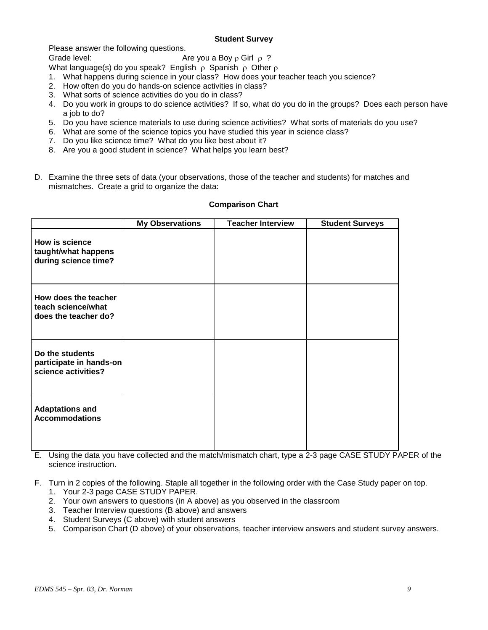## **Student Survey**

Please answer the following questions.

Grade level: Are you a Boy ρ Girl ρ ?

What language(s) do you speak? English  $\rho$  Spanish  $\rho$  Other  $\rho$ 

- 1. What happens during science in your class? How does your teacher teach you science?
- 2. How often do you do hands-on science activities in class?
- 3. What sorts of science activities do you do in class?
- 4. Do you work in groups to do science activities? If so, what do you do in the groups? Does each person have a job to do?
- 5. Do you have science materials to use during science activities? What sorts of materials do you use?
- 6. What are some of the science topics you have studied this year in science class?
- 7. Do you like science time? What do you like best about it?
- 8. Are you a good student in science? What helps you learn best?
- D. Examine the three sets of data (your observations, those of the teacher and students) for matches and mismatches. Create a grid to organize the data:

|                                                                      | <b>My Observations</b> | <b>Teacher Interview</b> | <b>Student Surveys</b> |
|----------------------------------------------------------------------|------------------------|--------------------------|------------------------|
| <b>How is science</b><br>taught/what happens<br>during science time? |                        |                          |                        |
| How does the teacher<br>teach science/what<br>does the teacher do?   |                        |                          |                        |
| Do the students<br>participate in hands-on<br>science activities?    |                        |                          |                        |
| <b>Adaptations and</b><br><b>Accommodations</b>                      |                        |                          |                        |

#### **Comparison Chart**

E. Using the data you have collected and the match/mismatch chart, type a 2-3 page CASE STUDY PAPER of the science instruction.

F. Turn in 2 copies of the following. Staple all together in the following order with the Case Study paper on top.

- 1. Your 2-3 page CASE STUDY PAPER.
- 2. Your own answers to questions (in A above) as you observed in the classroom
- 3. Teacher Interview questions (B above) and answers
- 4. Student Surveys (C above) with student answers
- 5. Comparison Chart (D above) of your observations, teacher interview answers and student survey answers.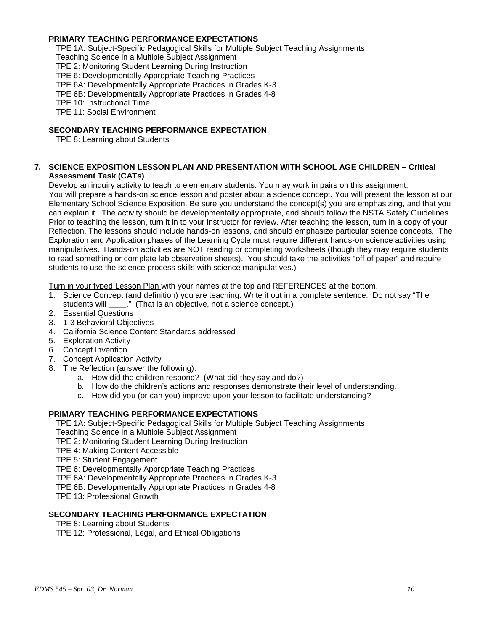# **PRIMARY TEACHING PERFORMANCE EXPECTATIONS**

TPE 1A: Subject-Specific Pedagogical Skills for Multiple Subject Teaching Assignments

Teaching Science in a Multiple Subject Assignment

TPE 2: Monitoring Student Learning During Instruction

TPE 6: Developmentally Appropriate Teaching Practices

TPE 6A: Developmentally Appropriate Practices in Grades K-3

TPE 6B: Developmentally Appropriate Practices in Grades 4-8

TPE 10: Instructional Time

TPE 11: Social Environment

## **SECONDARY TEACHING PERFORMANCE EXPECTATION**

TPE 8: Learning about Students

#### **7. SCIENCE EXPOSITION LESSON PLAN AND PRESENTATION WITH SCHOOL AGE CHILDREN – Critical Assessment Task (CATs)**

Develop an inquiry activity to teach to elementary students. You may work in pairs on this assignment. You will prepare a hands-on science lesson and poster about a science concept. You will present the lesson at our Elementary School Science Exposition. Be sure you understand the concept(s) you are emphasizing, and that you can explain it. The activity should be developmentally appropriate, and should follow the NSTA Safety Guidelines. Prior to teaching the lesson, turn it in to your instructor for review. After teaching the lesson, turn in a copy of your Reflection. The lessons should include hands-on lessons, and should emphasize particular science concepts. The Exploration and Application phases of the Learning Cycle must require different hands-on science activities using manipulatives. Hands-on activities are NOT reading or completing worksheets (though they may require students to read something or complete lab observation sheets). You should take the activities "off of paper" and require students to use the science process skills with science manipulatives.)

Turn in your typed Lesson Plan with your names at the top and REFERENCES at the bottom.

- 1. Science Concept (and definition) you are teaching. Write it out in a complete sentence. Do not say "The students will \_\_\_\_." (That is an objective, not a science concept.)
- 2. Essential Questions
- 3. 1-3 Behavioral Objectives
- 4. California Science Content Standards addressed
- 5. Exploration Activity
- 6. Concept Invention
- 7. Concept Application Activity
- 8. The Reflection (answer the following):
	- a. How did the children respond? (What did they say and do?)
	- b. How do the children's actions and responses demonstrate their level of understanding.
	- c. How did you (or can you) improve upon your lesson to facilitate understanding?

# **PRIMARY TEACHING PERFORMANCE EXPECTATIONS**

TPE 1A: Subject-Specific Pedagogical Skills for Multiple Subject Teaching Assignments Teaching Science in a Multiple Subject Assignment

TPE 2: Monitoring Student Learning During Instruction

- TPE 4: Making Content Accessible
- TPE 5: Student Engagement
- TPE 6: Developmentally Appropriate Teaching Practices

TPE 6A: Developmentally Appropriate Practices in Grades K-3

TPE 6B: Developmentally Appropriate Practices in Grades 4-8

TPE 13: Professional Growth

#### **SECONDARY TEACHING PERFORMANCE EXPECTATION**

TPE 8: Learning about Students

TPE 12: Professional, Legal, and Ethical Obligations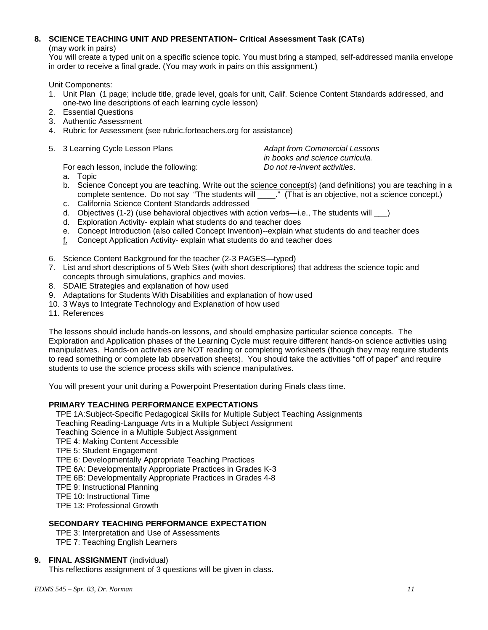# **8. SCIENCE TEACHING UNIT AND PRESENTATION– Critical Assessment Task (CATs)**

(may work in pairs)

You will create a typed unit on a specific science topic. You must bring a stamped, self-addressed manila envelope in order to receive a final grade. (You may work in pairs on this assignment.)

Unit Components:

- 1. Unit Plan (1 page; include title, grade level, goals for unit, Calif. Science Content Standards addressed, and one-two line descriptions of each learning cycle lesson)
- 2. Essential Questions
- 3. Authentic Assessment
- 4. Rubric for Assessment (see rubric.forteachers.org for assistance)
- 5. 3 Learning Cycle Lesson Plans *Adapt from Commercial Lessons*

*in books and science curricula.*

For each lesson, include the following:

- a. Topic
- b. Science Concept you are teaching. Write out the science concept(s) (and definitions) you are teaching in a complete sentence. Do not say "The students will \_\_\_\_." (That is an objective, not a science concept.)
- c. California Science Content Standards addressed
- d. Objectives (1-2) (use behavioral objectives with action verbs—i.e., The students will \_\_\_)
- d. Exploration Activity- explain what students do and teacher does
- e. Concept Introduction (also called Concept Invention)--explain what students do and teacher does
- f. Concept Application Activity- explain what students do and teacher does
- 6. Science Content Background for the teacher (2-3 PAGES—typed)
- 7. List and short descriptions of 5 Web Sites (with short descriptions) that address the science topic and concepts through simulations, graphics and movies.
- 8. SDAIE Strategies and explanation of how used
- 9. Adaptations for Students With Disabilities and explanation of how used
- 10. 3 Ways to Integrate Technology and Explanation of how used
- 11. References

The lessons should include hands-on lessons, and should emphasize particular science concepts. The Exploration and Application phases of the Learning Cycle must require different hands-on science activities using manipulatives. Hands-on activities are NOT reading or completing worksheets (though they may require students to read something or complete lab observation sheets). You should take the activities "off of paper" and require students to use the science process skills with science manipulatives.

You will present your unit during a Powerpoint Presentation during Finals class time.

# **PRIMARY TEACHING PERFORMANCE EXPECTATIONS**

TPE 1A:Subject-Specific Pedagogical Skills for Multiple Subject Teaching Assignments

Teaching Reading-Language Arts in a Multiple Subject Assignment

- Teaching Science in a Multiple Subject Assignment
- TPE 4: Making Content Accessible
- TPE 5: Student Engagement

TPE 6: Developmentally Appropriate Teaching Practices

TPE 6A: Developmentally Appropriate Practices in Grades K-3

TPE 6B: Developmentally Appropriate Practices in Grades 4-8

- TPE 9: Instructional Planning
- TPE 10: Instructional Time
- TPE 13: Professional Growth

# **SECONDARY TEACHING PERFORMANCE EXPECTATION**

TPE 3: Interpretation and Use of Assessments TPE 7: Teaching English Learners

# **9. FINAL ASSIGNMENT** (individual)

This reflections assignment of 3 questions will be given in class.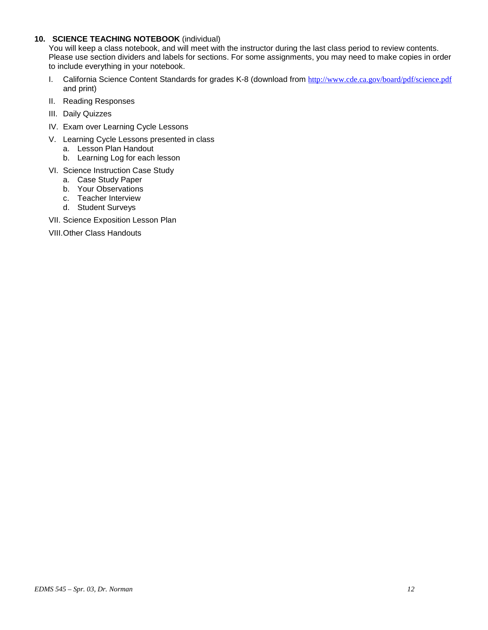## **10. SCIENCE TEACHING NOTEBOOK** (individual)

You will keep a class notebook, and will meet with the instructor during the last class period to review contents. Please use section dividers and labels for sections. For some assignments, you may need to make copies in order to include everything in your notebook.

- I. California Science Content Standards for grades K-8 (download from <http://www.cde.ca.gov/board/pdf/science.pdf> and print)
- II. Reading Responses
- III. Daily Quizzes
- IV. Exam over Learning Cycle Lessons
- V. Learning Cycle Lessons presented in class
	- a. Lesson Plan Handout
	- b. Learning Log for each lesson
- VI. Science Instruction Case Study
	- a. Case Study Paper
	- b. Your Observations
	- c. Teacher Interview
	- d. Student Surveys
- VII. Science Exposition Lesson Plan
- VIII.Other Class Handouts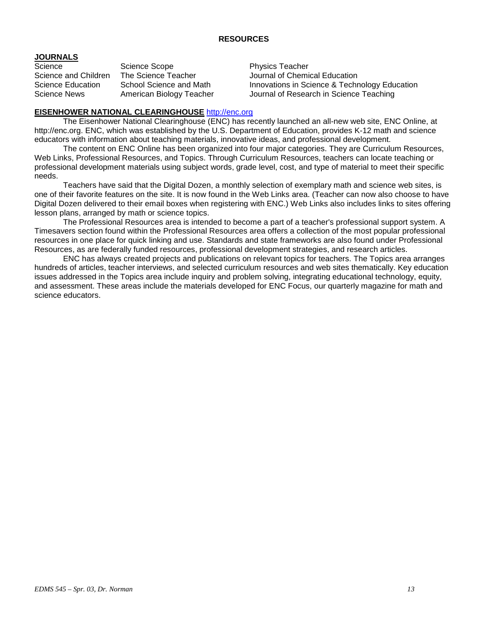## **RESOURCES**

# **JOURNALS**

Science Scope Science Scope<br>Science and Children The Science Teacher Science Mournal of Chemi

Journal of Chemical Education Science Education School Science and Math Innovations in Science & Technology Education Science News American Biology Teacher Journal of Research in Science Teaching

## **EISENHOWER NATIONAL CLEARINGHOUSE** [http://enc.org](http://enc.org/)

The Eisenhower National Clearinghouse (ENC) has recently launched an all-new web site, ENC Online, at http://enc.org. ENC, which was established by the U.S. Department of Education, provides K-12 math and science educators with information about teaching materials, innovative ideas, and professional development.

The content on ENC Online has been organized into four major categories. They are Curriculum Resources, Web Links, Professional Resources, and Topics. Through Curriculum Resources, teachers can locate teaching or professional development materials using subject words, grade level, cost, and type of material to meet their specific needs.

Teachers have said that the Digital Dozen, a monthly selection of exemplary math and science web sites, is one of their favorite features on the site. It is now found in the Web Links area. (Teacher can now also choose to have Digital Dozen delivered to their email boxes when registering with ENC.) Web Links also includes links to sites offering lesson plans, arranged by math or science topics.

The Professional Resources area is intended to become a part of a teacher's professional support system. A Timesavers section found within the Professional Resources area offers a collection of the most popular professional resources in one place for quick linking and use. Standards and state frameworks are also found under Professional Resources, as are federally funded resources, professional development strategies, and research articles.

ENC has always created projects and publications on relevant topics for teachers. The Topics area arranges hundreds of articles, teacher interviews, and selected curriculum resources and web sites thematically. Key education issues addressed in the Topics area include inquiry and problem solving, integrating educational technology, equity, and assessment. These areas include the materials developed for ENC Focus, our quarterly magazine for math and science educators.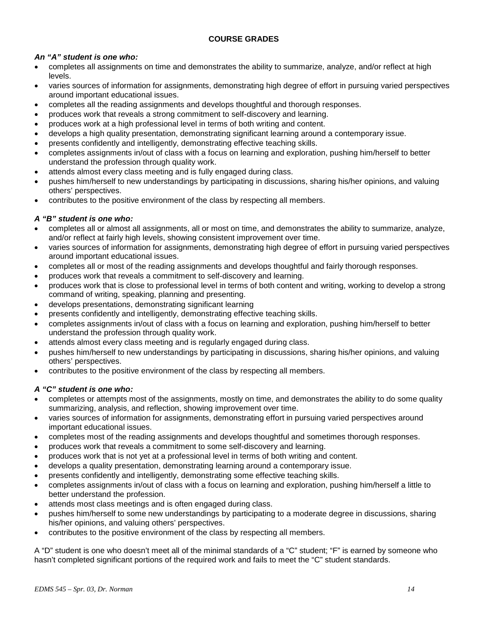# **COURSE GRADES**

# *An "A" student is one who:*

- completes all assignments on time and demonstrates the ability to summarize, analyze, and/or reflect at high levels.
- varies sources of information for assignments, demonstrating high degree of effort in pursuing varied perspectives around important educational issues.
- completes all the reading assignments and develops thoughtful and thorough responses.
- produces work that reveals a strong commitment to self-discovery and learning.
- produces work at a high professional level in terms of both writing and content.
- develops a high quality presentation, demonstrating significant learning around a contemporary issue.
- presents confidently and intelligently, demonstrating effective teaching skills.
- completes assignments in/out of class with a focus on learning and exploration, pushing him/herself to better understand the profession through quality work.
- attends almost every class meeting and is fully engaged during class.
- pushes him/herself to new understandings by participating in discussions, sharing his/her opinions, and valuing others' perspectives.
- contributes to the positive environment of the class by respecting all members.

# *A "B" student is one who:*

- completes all or almost all assignments, all or most on time, and demonstrates the ability to summarize, analyze, and/or reflect at fairly high levels, showing consistent improvement over time.
- varies sources of information for assignments, demonstrating high degree of effort in pursuing varied perspectives around important educational issues.
- completes all or most of the reading assignments and develops thoughtful and fairly thorough responses.
- produces work that reveals a commitment to self-discovery and learning.
- produces work that is close to professional level in terms of both content and writing, working to develop a strong command of writing, speaking, planning and presenting.
- develops presentations, demonstrating significant learning
- presents confidently and intelligently, demonstrating effective teaching skills.
- completes assignments in/out of class with a focus on learning and exploration, pushing him/herself to better understand the profession through quality work.
- attends almost every class meeting and is regularly engaged during class.
- pushes him/herself to new understandings by participating in discussions, sharing his/her opinions, and valuing others' perspectives.
- contributes to the positive environment of the class by respecting all members.

# *A "C" student is one who:*

- completes or attempts most of the assignments, mostly on time, and demonstrates the ability to do some quality summarizing, analysis, and reflection, showing improvement over time.
- varies sources of information for assignments, demonstrating effort in pursuing varied perspectives around important educational issues.
- completes most of the reading assignments and develops thoughtful and sometimes thorough responses.
- produces work that reveals a commitment to some self-discovery and learning.
- produces work that is not yet at a professional level in terms of both writing and content.
- develops a quality presentation, demonstrating learning around a contemporary issue.
- presents confidently and intelligently, demonstrating some effective teaching skills.
- completes assignments in/out of class with a focus on learning and exploration, pushing him/herself a little to better understand the profession.
- attends most class meetings and is often engaged during class.
- pushes him/herself to some new understandings by participating to a moderate degree in discussions, sharing his/her opinions, and valuing others' perspectives.
- contributes to the positive environment of the class by respecting all members.

A "D" student is one who doesn't meet all of the minimal standards of a "C" student; "F" is earned by someone who hasn't completed significant portions of the required work and fails to meet the "C" student standards.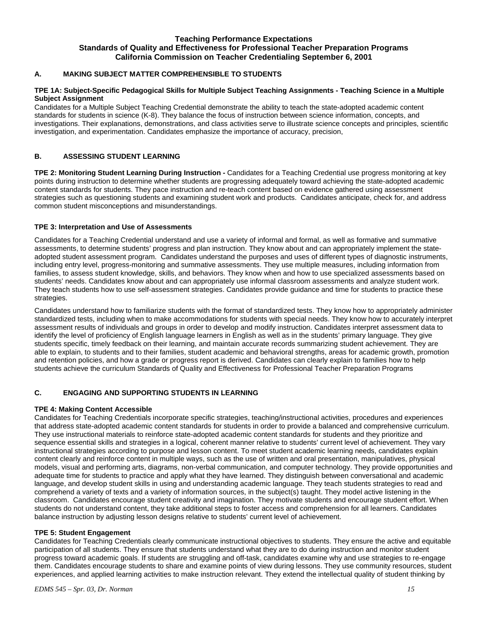#### **Teaching Performance Expectations Standards of Quality and Effectiveness for Professional Teacher Preparation Programs California Commission on Teacher Credentialing September 6, 2001**

#### **A. MAKING SUBJECT MATTER COMPREHENSIBLE TO STUDENTS**

#### **TPE 1A: Subject-Specific Pedagogical Skills for Multiple Subject Teaching Assignments - Teaching Science in a Multiple Subject Assignment**

Candidates for a Multiple Subject Teaching Credential demonstrate the ability to teach the state-adopted academic content standards for students in science (K-8). They balance the focus of instruction between science information, concepts, and investigations. Their explanations, demonstrations, and class activities serve to illustrate science concepts and principles, scientific investigation, and experimentation. Candidates emphasize the importance of accuracy, precision,

#### **B. ASSESSING STUDENT LEARNING**

**TPE 2: Monitoring Student Learning During Instruction -** Candidates for a Teaching Credential use progress monitoring at key points during instruction to determine whether students are progressing adequately toward achieving the state-adopted academic content standards for students. They pace instruction and re-teach content based on evidence gathered using assessment strategies such as questioning students and examining student work and products. Candidates anticipate, check for, and address common student misconceptions and misunderstandings.

#### **TPE 3: Interpretation and Use of Assessments**

Candidates for a Teaching Credential understand and use a variety of informal and formal, as well as formative and summative assessments, to determine students' progress and plan instruction. They know about and can appropriately implement the stateadopted student assessment program. Candidates understand the purposes and uses of different types of diagnostic instruments, including entry level, progress-monitoring and summative assessments. They use multiple measures, including information from families, to assess student knowledge, skills, and behaviors. They know when and how to use specialized assessments based on students' needs. Candidates know about and can appropriately use informal classroom assessments and analyze student work. They teach students how to use self-assessment strategies. Candidates provide guidance and time for students to practice these strategies.

Candidates understand how to familiarize students with the format of standardized tests. They know how to appropriately administer standardized tests, including when to make accommodations for students with special needs. They know how to accurately interpret assessment results of individuals and groups in order to develop and modify instruction. Candidates interpret assessment data to identify the level of proficiency of English language learners in English as well as in the students' primary language. They give students specific, timely feedback on their learning, and maintain accurate records summarizing student achievement. They are able to explain, to students and to their families, student academic and behavioral strengths, areas for academic growth, promotion and retention policies, and how a grade or progress report is derived. Candidates can clearly explain to families how to help students achieve the curriculum Standards of Quality and Effectiveness for Professional Teacher Preparation Programs

#### **C. ENGAGING AND SUPPORTING STUDENTS IN LEARNING**

#### **TPE 4: Making Content Accessible**

Candidates for Teaching Credentials incorporate specific strategies, teaching/instructional activities, procedures and experiences that address state-adopted academic content standards for students in order to provide a balanced and comprehensive curriculum. They use instructional materials to reinforce state-adopted academic content standards for students and they prioritize and sequence essential skills and strategies in a logical, coherent manner relative to students' current level of achievement. They vary instructional strategies according to purpose and lesson content. To meet student academic learning needs, candidates explain content clearly and reinforce content in multiple ways, such as the use of written and oral presentation, manipulatives, physical models, visual and performing arts, diagrams, non-verbal communication, and computer technology. They provide opportunities and adequate time for students to practice and apply what they have learned. They distinguish between conversational and academic language, and develop student skills in using and understanding academic language. They teach students strategies to read and comprehend a variety of texts and a variety of information sources, in the subject(s) taught. They model active listening in the classroom. Candidates encourage student creativity and imagination. They motivate students and encourage student effort. When students do not understand content, they take additional steps to foster access and comprehension for all learners. Candidates balance instruction by adjusting lesson designs relative to students' current level of achievement.

#### **TPE 5: Student Engagement**

Candidates for Teaching Credentials clearly communicate instructional objectives to students. They ensure the active and equitable participation of all students. They ensure that students understand what they are to do during instruction and monitor student progress toward academic goals. If students are struggling and off-task, candidates examine why and use strategies to re-engage them. Candidates encourage students to share and examine points of view during lessons. They use community resources, student experiences, and applied learning activities to make instruction relevant. They extend the intellectual quality of student thinking by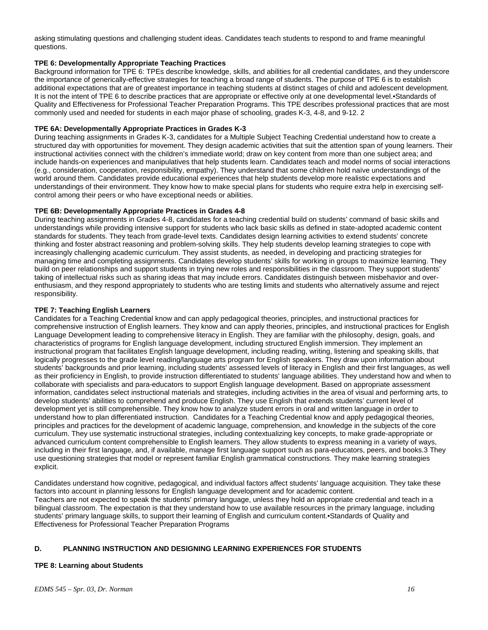asking stimulating questions and challenging student ideas. Candidates teach students to respond to and frame meaningful questions.

#### **TPE 6: Developmentally Appropriate Teaching Practices**

Background information for TPE 6: TPEs describe knowledge, skills, and abilities for all credential candidates, and they underscore the importance of generically-effective strategies for teaching a broad range of students. The purpose of TPE 6 is to establish additional expectations that are of greatest importance in teaching students at distinct stages of child and adolescent development. It is not the intent of TPE 6 to describe practices that are appropriate or effective only at one developmental level.•Standards of Quality and Effectiveness for Professional Teacher Preparation Programs. This TPE describes professional practices that are most commonly used and needed for students in each major phase of schooling, grades K-3, 4-8, and 9-12. 2

#### **TPE 6A: Developmentally Appropriate Practices in Grades K-3**

During teaching assignments in Grades K-3, candidates for a Multiple Subject Teaching Credential understand how to create a structured day with opportunities for movement. They design academic activities that suit the attention span of young learners. Their instructional activities connect with the children's immediate world; draw on key content from more than one subject area; and include hands-on experiences and manipulatives that help students learn. Candidates teach and model norms of social interactions (e.g., consideration, cooperation, responsibility, empathy). They understand that some children hold naïve understandings of the world around them. Candidates provide educational experiences that help students develop more realistic expectations and understandings of their environment. They know how to make special plans for students who require extra help in exercising selfcontrol among their peers or who have exceptional needs or abilities.

#### **TPE 6B: Developmentally Appropriate Practices in Grades 4-8**

During teaching assignments in Grades 4-8, candidates for a teaching credential build on students' command of basic skills and understandings while providing intensive support for students who lack basic skills as defined in state-adopted academic content standards for students. They teach from grade-level texts. Candidates design learning activities to extend students' concrete thinking and foster abstract reasoning and problem-solving skills. They help students develop learning strategies to cope with increasingly challenging academic curriculum. They assist students, as needed, in developing and practicing strategies for managing time and completing assignments. Candidates develop students' skills for working in groups to maximize learning. They build on peer relationships and support students in trying new roles and responsibilities in the classroom. They support students' taking of intellectual risks such as sharing ideas that may include errors. Candidates distinguish between misbehavior and overenthusiasm, and they respond appropriately to students who are testing limits and students who alternatively assume and reject responsibility.

#### **TPE 7: Teaching English Learners**

Candidates for a Teaching Credential know and can apply pedagogical theories, principles, and instructional practices for comprehensive instruction of English learners. They know and can apply theories, principles, and instructional practices for English Language Development leading to comprehensive literacy in English. They are familiar with the philosophy, design, goals, and characteristics of programs for English language development, including structured English immersion. They implement an instructional program that facilitates English language development, including reading, writing, listening and speaking skills, that logically progresses to the grade level reading/language arts program for English speakers. They draw upon information about students' backgrounds and prior learning, including students' assessed levels of literacy in English and their first languages, as well as their proficiency in English, to provide instruction differentiated to students' language abilities. They understand how and when to collaborate with specialists and para-educators to support English language development. Based on appropriate assessment information, candidates select instructional materials and strategies, including activities in the area of visual and performing arts, to develop students' abilities to comprehend and produce English. They use English that extends students' current level of development yet is still comprehensible. They know how to analyze student errors in oral and written language in order to understand how to plan differentiated instruction. Candidates for a Teaching Credential know and apply pedagogical theories, principles and practices for the development of academic language, comprehension, and knowledge in the subjects of the core curriculum. They use systematic instructional strategies, including contextualizing key concepts, to make grade-appropriate or advanced curriculum content comprehensible to English learners. They allow students to express meaning in a variety of ways, including in their first language, and, if available, manage first language support such as para-educators, peers, and books.3 They use questioning strategies that model or represent familiar English grammatical constructions. They make learning strategies explicit.

Candidates understand how cognitive, pedagogical, and individual factors affect students' language acquisition. They take these factors into account in planning lessons for English language development and for academic content. Teachers are not expected to speak the students' primary language, unless they hold an appropriate credential and teach in a bilingual classroom. The expectation is that they understand how to use available resources in the primary language, including students' primary language skills, to support their learning of English and curriculum content.•Standards of Quality and Effectiveness for Professional Teacher Preparation Programs

#### **D. PLANNING INSTRUCTION AND DESIGNING LEARNING EXPERIENCES FOR STUDENTS**

#### **TPE 8: Learning about Students**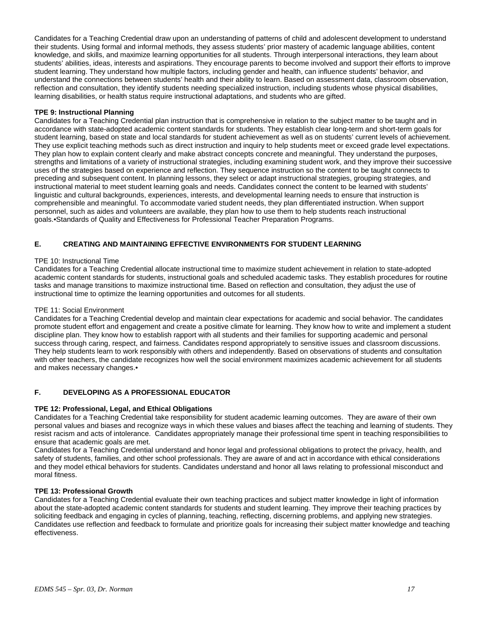Candidates for a Teaching Credential draw upon an understanding of patterns of child and adolescent development to understand their students. Using formal and informal methods, they assess students' prior mastery of academic language abilities, content knowledge, and skills, and maximize learning opportunities for all students. Through interpersonal interactions, they learn about students' abilities, ideas, interests and aspirations. They encourage parents to become involved and support their efforts to improve student learning. They understand how multiple factors, including gender and health, can influence students' behavior, and understand the connections between students' health and their ability to learn. Based on assessment data, classroom observation, reflection and consultation, they identify students needing specialized instruction, including students whose physical disabilities, learning disabilities, or health status require instructional adaptations, and students who are gifted.

#### **TPE 9: Instructional Planning**

Candidates for a Teaching Credential plan instruction that is comprehensive in relation to the subject matter to be taught and in accordance with state-adopted academic content standards for students. They establish clear long-term and short-term goals for student learning, based on state and local standards for student achievement as well as on students' current levels of achievement. They use explicit teaching methods such as direct instruction and inquiry to help students meet or exceed grade level expectations. They plan how to explain content clearly and make abstract concepts concrete and meaningful. They understand the purposes, strengths and limitations of a variety of instructional strategies, including examining student work, and they improve their successive uses of the strategies based on experience and reflection. They sequence instruction so the content to be taught connects to preceding and subsequent content. In planning lessons, they select or adapt instructional strategies, grouping strategies, and instructional material to meet student learning goals and needs. Candidates connect the content to be learned with students' linguistic and cultural backgrounds, experiences, interests, and developmental learning needs to ensure that instruction is comprehensible and meaningful. To accommodate varied student needs, they plan differentiated instruction. When support personnel, such as aides and volunteers are available, they plan how to use them to help students reach instructional goals.•Standards of Quality and Effectiveness for Professional Teacher Preparation Programs.

#### **E. CREATING AND MAINTAINING EFFECTIVE ENVIRONMENTS FOR STUDENT LEARNING**

#### TPE 10: Instructional Time

Candidates for a Teaching Credential allocate instructional time to maximize student achievement in relation to state-adopted academic content standards for students, instructional goals and scheduled academic tasks. They establish procedures for routine tasks and manage transitions to maximize instructional time. Based on reflection and consultation, they adjust the use of instructional time to optimize the learning opportunities and outcomes for all students.

#### TPE 11: Social Environment

Candidates for a Teaching Credential develop and maintain clear expectations for academic and social behavior. The candidates promote student effort and engagement and create a positive climate for learning. They know how to write and implement a student discipline plan. They know how to establish rapport with all students and their families for supporting academic and personal success through caring, respect, and fairness. Candidates respond appropriately to sensitive issues and classroom discussions. They help students learn to work responsibly with others and independently. Based on observations of students and consultation with other teachers, the candidate recognizes how well the social environment maximizes academic achievement for all students and makes necessary changes.•

#### **F. DEVELOPING AS A PROFESSIONAL EDUCATOR**

#### **TPE 12: Professional, Legal, and Ethical Obligations**

Candidates for a Teaching Credential take responsibility for student academic learning outcomes. They are aware of their own personal values and biases and recognize ways in which these values and biases affect the teaching and learning of students. They resist racism and acts of intolerance. Candidates appropriately manage their professional time spent in teaching responsibilities to ensure that academic goals are met.

Candidates for a Teaching Credential understand and honor legal and professional obligations to protect the privacy, health, and safety of students, families, and other school professionals. They are aware of and act in accordance with ethical considerations and they model ethical behaviors for students. Candidates understand and honor all laws relating to professional misconduct and moral fitness.

#### **TPE 13: Professional Growth**

Candidates for a Teaching Credential evaluate their own teaching practices and subject matter knowledge in light of information about the state-adopted academic content standards for students and student learning. They improve their teaching practices by soliciting feedback and engaging in cycles of planning, teaching, reflecting, discerning problems, and applying new strategies. Candidates use reflection and feedback to formulate and prioritize goals for increasing their subject matter knowledge and teaching effectiveness.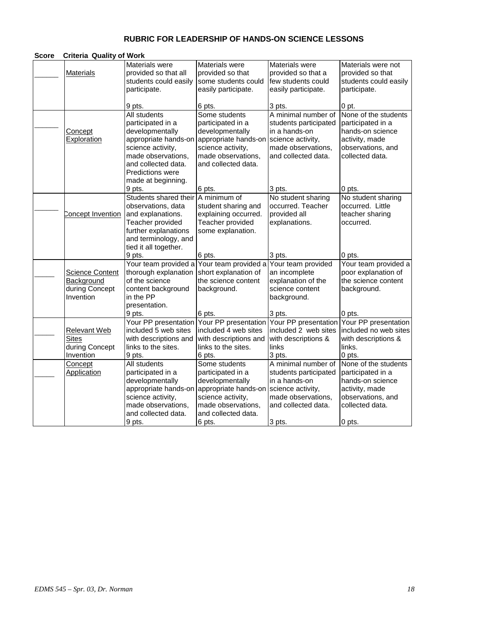# **RUBRIC FOR LEADERSHIP OF HANDS-ON SCIENCE LESSONS**

| <b>Score</b> | <b>Criteria Quality of Work</b>                                     |                                                                                                                                                                                                 |                                                                                                                                                 |                                                                                                                                 |                                                                                                                         |
|--------------|---------------------------------------------------------------------|-------------------------------------------------------------------------------------------------------------------------------------------------------------------------------------------------|-------------------------------------------------------------------------------------------------------------------------------------------------|---------------------------------------------------------------------------------------------------------------------------------|-------------------------------------------------------------------------------------------------------------------------|
|              | <b>Materials</b>                                                    | Materials were<br>provided so that all<br>students could easily<br>participate.                                                                                                                 | Materials were<br>provided so that<br>some students could<br>easily participate.                                                                | Materials were<br>provided so that a<br>few students could<br>easily participate.                                               | Materials were not<br>provided so that<br>students could easily<br>participate.                                         |
|              |                                                                     | 9 pts.                                                                                                                                                                                          | 6 pts.                                                                                                                                          | 3 pts.                                                                                                                          | 0 pt.                                                                                                                   |
|              | <b>Concept</b><br>Exploration                                       | All students<br>participated in a<br>developmentally<br>appropriate hands-on<br>science activity,<br>made observations,<br>and collected data.<br><b>Predictions were</b><br>made at beginning. | Some students<br>participated in a<br>developmentally<br>appropriate hands-on<br>science activity,<br>made observations,<br>and collected data. | A minimal number of<br>students participated<br>in a hands-on<br>science activity,<br>made observations,<br>and collected data. | None of the students<br>participated in a<br>hands-on science<br>activity, made<br>observations, and<br>collected data. |
|              |                                                                     | 9 pts.                                                                                                                                                                                          | 6 pts.                                                                                                                                          | 3 pts.                                                                                                                          | 0 pts.                                                                                                                  |
|              | Concept Invention                                                   | Students shared their<br>observations, data<br>and explanations.                                                                                                                                | A minimum of<br>student sharing and<br>explaining occurred.                                                                                     | No student sharing<br>occurred. Teacher<br>provided all                                                                         | No student sharing<br>occurred. Little<br>teacher sharing                                                               |
|              |                                                                     | Teacher provided<br>further explanations<br>and terminology, and<br>tied it all together.<br>9 pts.                                                                                             | Teacher provided<br>some explanation.<br>6 pts.                                                                                                 | explanations.<br>3 pts.                                                                                                         | occurred.<br>0 pts.                                                                                                     |
|              | <b>Science Content</b><br>Background<br>during Concept<br>Invention | thorough explanation<br>of the science<br>content background<br>in the PP<br>presentation.<br>9 pts.                                                                                            | Your team provided a Your team provided a<br>short explanation of<br>the science content<br>background.<br>6 pts.                               | Your team provided<br>an incomplete<br>explanation of the<br>science content<br>background.<br>3 pts.                           | Your team provided a<br>poor explanation of<br>the science content<br>background.<br>0 pts.                             |
|              | <b>Relevant Web</b><br><b>Sites</b><br>during Concept<br>Invention  | Your PP presentation<br>included 5 web sites<br>with descriptions and<br>links to the sites.<br>9 pts.                                                                                          | Your PP presentation<br>included 4 web sites<br>with descriptions and<br>links to the sites.<br>6 pts.                                          | Your PP presentation<br>included 2 web sites<br>with descriptions &<br>links<br>3 pts.                                          | Your PP presentation<br>included no web sites<br>with descriptions &<br>links.<br>0 pts.                                |
|              | Concept<br><b>Application</b>                                       | All students<br>participated in a<br>developmentally<br>appropriate hands-on<br>science activity,<br>made observations,<br>and collected data.                                                  | Some students<br>participated in a<br>developmentally<br>appropriate hands-on<br>science activity,<br>made observations,<br>and collected data. | A minimal number of<br>students participated<br>in a hands-on<br>science activity,<br>made observations,<br>and collected data. | None of the students<br>participated in a<br>hands-on science<br>activity, made<br>observations, and<br>collected data. |
|              |                                                                     | 9 pts.                                                                                                                                                                                          | 6 pts.                                                                                                                                          | 3 pts.                                                                                                                          | 0 pts.                                                                                                                  |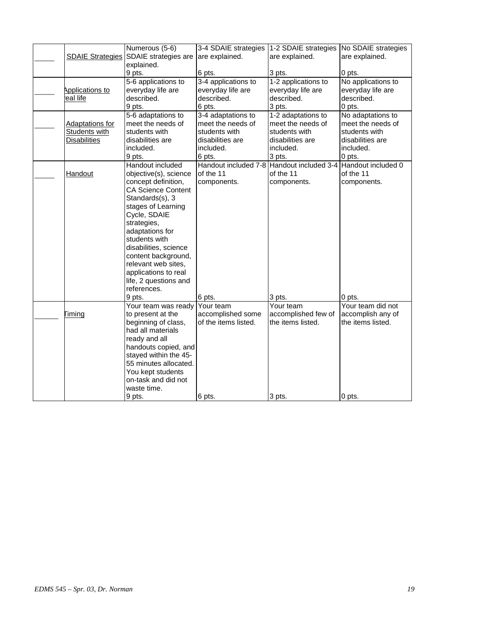|                         | Numerous (5-6)            | 3-4 SDAIE strategies                      | 1-2 SDAIE strategies | No SDAIE strategies |
|-------------------------|---------------------------|-------------------------------------------|----------------------|---------------------|
| <b>SDAIE Strategies</b> | SDAIE strategies are      | are explained.                            | are explained.       | are explained.      |
|                         | explained.                |                                           |                      |                     |
|                         | 9 pts.                    | 6 pts.                                    | 3 pts.               | 0 pts.              |
|                         | 5-6 applications to       | 3-4 applications to                       | 1-2 applications to  | No applications to  |
| Applications to         | everyday life are         | everyday life are                         | everyday life are    | everyday life are   |
| eal life                | described.                | described.                                | described.           | described.          |
|                         | 9 pts.                    | 6 pts.                                    | 3 pts.               | 0 pts.              |
|                         | 5-6 adaptations to        | 3-4 adaptations to                        | 1-2 adaptations to   | No adaptations to   |
| <b>Adaptations for</b>  | meet the needs of         | meet the needs of                         | meet the needs of    | meet the needs of   |
| Students with           | students with             | students with                             | students with        | students with       |
| <b>Disabilities</b>     | disabilities are          | disabilities are                          | disabilities are     | disabilities are    |
|                         | included.                 | included.                                 | included.            | included.           |
|                         | 9 pts.                    | 6 pts.                                    | 3 pts.               | 0 pts.              |
|                         | Handout included          | Handout included 7-8 Handout included 3-4 |                      | Handout included 0  |
| <b>Handout</b>          | objective(s), science     | of the 11                                 | of the 11            | of the 11           |
|                         | concept definition,       | components.                               | components.          | components.         |
|                         | <b>CA Science Content</b> |                                           |                      |                     |
|                         | Standards(s), 3           |                                           |                      |                     |
|                         | stages of Learning        |                                           |                      |                     |
|                         | Cycle, SDAIE              |                                           |                      |                     |
|                         | strategies,               |                                           |                      |                     |
|                         | adaptations for           |                                           |                      |                     |
|                         | students with             |                                           |                      |                     |
|                         | disabilities, science     |                                           |                      |                     |
|                         | content background,       |                                           |                      |                     |
|                         | relevant web sites,       |                                           |                      |                     |
|                         | applications to real      |                                           |                      |                     |
|                         | life, 2 questions and     |                                           |                      |                     |
|                         | references.               |                                           |                      |                     |
|                         | 9 pts.                    | 6 pts.                                    | 3 pts.               | 0 pts.              |
|                         | Your team was ready       | Your team                                 | Your team            | Your team did not   |
| Timing                  | to present at the         | accomplished some                         | accomplished few of  | accomplish any of   |
|                         | beginning of class,       | of the items listed.                      | the items listed.    | the items listed.   |
|                         | had all materials         |                                           |                      |                     |
|                         | ready and all             |                                           |                      |                     |
|                         | handouts copied, and      |                                           |                      |                     |
|                         | stayed within the 45-     |                                           |                      |                     |
|                         | 55 minutes allocated.     |                                           |                      |                     |
|                         | You kept students         |                                           |                      |                     |
|                         | on-task and did not       |                                           |                      |                     |
|                         | waste time.               |                                           |                      |                     |
|                         | 9 pts.                    | 6 pts.                                    | 3 pts.               | 0 pts.              |
|                         |                           |                                           |                      |                     |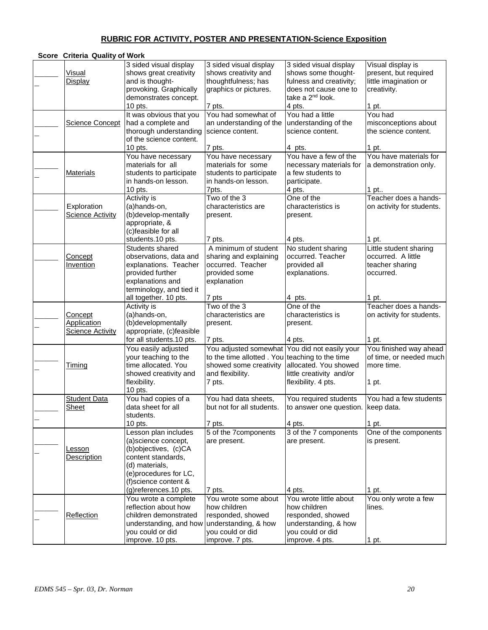# **RUBRIC FOR ACTIVITY, POSTER AND PRESENTATION-Science Exposition**

| Score Criteria Quality of Work                    |                                                                                                                                                                                       |                                                                                                                                                         |                                                                                                                                   |                                                                                                |
|---------------------------------------------------|---------------------------------------------------------------------------------------------------------------------------------------------------------------------------------------|---------------------------------------------------------------------------------------------------------------------------------------------------------|-----------------------------------------------------------------------------------------------------------------------------------|------------------------------------------------------------------------------------------------|
| <b>Visual</b><br>Display                          | 3 sided visual display<br>shows great creativity<br>and is thought-<br>provoking. Graphically<br>demonstrates concept.                                                                | 3 sided visual display<br>shows creativity and<br>thoughtfulness; has<br>graphics or pictures.                                                          | 3 sided visual display<br>shows some thought-<br>fulness and creativity;<br>does not cause one to<br>take a 2 <sup>nd</sup> look. | Visual display is<br>present, but required<br>little imagination or<br>creativity.             |
| <b>Science Concept</b>                            | 10 pts.<br>It was obvious that you<br>had a complete and<br>thorough understanding<br>of the science content.                                                                         | 7 pts.<br>You had somewhat of<br>an understanding of the<br>science content.                                                                            | 4 pts.<br>You had a little<br>understanding of the<br>science content.                                                            | 1 pt.<br>You had<br>misconceptions about<br>the science content.                               |
| <b>Materials</b>                                  | 10 pts.<br>You have necessary<br>materials for all<br>students to participate<br>in hands-on lesson.<br>10 pts.                                                                       | 7 pts.<br>You have necessary<br>materials for some<br>students to participate<br>in hands-on lesson.<br>7pts.                                           | 4 pts.<br>You have a few of the<br>necessary materials for<br>a few students to<br>participate.<br>4 pts.                         | 1 pt.<br>You have materials for<br>a demonstration only.<br>1 pt                               |
| Exploration<br><b>Science Activity</b>            | <b>Activity is</b><br>(a)hands-on,<br>(b)develop-mentally<br>appropriate, &<br>(c)feasible for all                                                                                    | Two of the 3<br>characteristics are<br>present.<br>7 pts.                                                                                               | One of the<br>characteristics is<br>present.<br>4 pts.                                                                            | Teacher does a hands-<br>on activity for students.                                             |
| <b>Concept</b><br><b>Invention</b>                | students.10 pts.<br>Students shared<br>observations, data and<br>explanations. Teacher<br>provided further<br>explanations and<br>terminology, and tied it<br>all together. 10 pts.   | A minimum of student<br>sharing and explaining<br>occurred. Teacher<br>provided some<br>explanation<br>7 pts                                            | No student sharing<br>occurred. Teacher<br>provided all<br>explanations.<br>4 pts.                                                | 1 pt.<br>Little student sharing<br>occurred. A little<br>teacher sharing<br>occurred.<br>1 pt. |
| Concept<br>Application<br><b>Science Activity</b> | Activity is<br>(a)hands-on,<br>(b)developmentally<br>appropriate, (c)feasible<br>for all students.10 pts.                                                                             | Two of the 3<br>characteristics are<br>present.<br>7 pts.                                                                                               | One of the<br>characteristics is<br>present.<br>4 pts.                                                                            | Teacher does a hands-<br>on activity for students.<br>1 pt.                                    |
| <u>Timing</u>                                     | You easily adjusted<br>your teaching to the<br>time allocated. You<br>showed creativity and<br>flexibility.<br>10 pts.                                                                | You adjusted somewhat You did not easily your<br>to the time allotted. You teaching to the time<br>showed some creativity<br>and flexibility.<br>7 pts. | allocated. You showed<br>little creativity and/or<br>flexibility. 4 pts.                                                          | You finished way ahead<br>of time, or needed much<br>more time.<br>1 pt.                       |
| <b>Student Data</b><br><u>Sheet</u>               | You had copies of a<br>data sheet for all<br>students.<br>10 pts.                                                                                                                     | You had data sheets,<br>but not for all students.<br>7 pts.                                                                                             | You required students<br>to answer one question. [keep data.]<br>4 pts.                                                           | You had a few students<br>1 pt.                                                                |
| Lesson<br>Description                             | Lesson plan includes<br>(a)science concept,<br>(b)objectives, (c)CA<br>content standards.<br>(d) materials,<br>(e)procedures for LC,<br>(f)science content &<br>(g)references.10 pts. | 5 of the 7components<br>are present.<br>7 pts.                                                                                                          | 3 of the 7 components<br>are present.<br>4 pts.                                                                                   | One of the components<br>is present.<br>1 pt.                                                  |
| Reflection                                        | You wrote a complete<br>reflection about how<br>children demonstrated<br>understanding, and how understanding, & how<br>you could or did<br>improve. 10 pts.                          | You wrote some about<br>how children<br>responded, showed<br>you could or did<br>improve. 7 pts.                                                        | You wrote little about<br>how children<br>responded, showed<br>understanding, & how<br>you could or did<br>improve. 4 pts.        | You only wrote a few<br>lines.<br>1 pt.                                                        |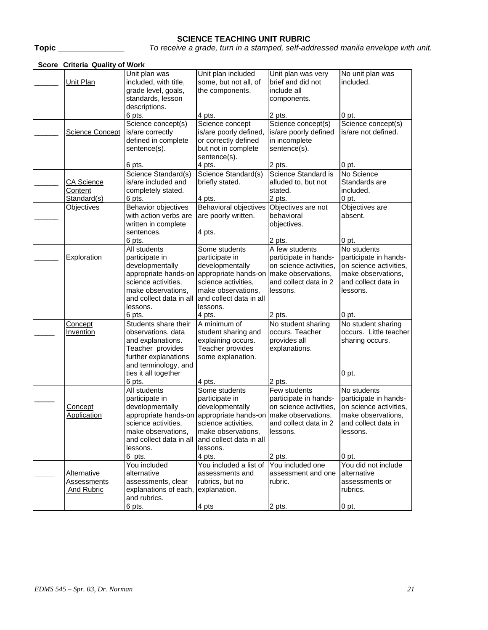# **SCIENCE TEACHING UNIT RUBRIC**

**Topic \_\_\_\_\_\_\_\_\_\_\_\_\_\_\_** *To receive a grade, turn in a stamped, self-addressed manila envelope with unit.*

| Score Criteria Quality of Work                         |                                                                                                                                                   |                                                                                                                                                                 |                                                                                                      |                                                                                                                         |  |
|--------------------------------------------------------|---------------------------------------------------------------------------------------------------------------------------------------------------|-----------------------------------------------------------------------------------------------------------------------------------------------------------------|------------------------------------------------------------------------------------------------------|-------------------------------------------------------------------------------------------------------------------------|--|
| Unit Plan                                              | Unit plan was<br>included, with title,<br>grade level, goals,<br>standards, lesson<br>descriptions.                                               | Unit plan included<br>some, but not all, of<br>the components.                                                                                                  | Unit plan was very<br>brief and did not<br>include all<br>components.                                | No unit plan was<br>included.                                                                                           |  |
|                                                        | 6 pts.                                                                                                                                            | 4 pts.                                                                                                                                                          | 2 pts.                                                                                               | 0 pt.                                                                                                                   |  |
| Science Concept                                        | Science concept(s)<br>is/are correctly<br>defined in complete<br>sentence(s).                                                                     | Science concept<br>is/are poorly defined,<br>or correctly defined<br>but not in complete<br>sentence(s).                                                        | Science concept(s)<br>is/are poorly defined<br>in incomplete<br>sentence(s).                         | Science concept(s)<br>is/are not defined.                                                                               |  |
|                                                        | 6 pts.                                                                                                                                            | 4 pts.                                                                                                                                                          | 2 pts.                                                                                               | 0 pt.                                                                                                                   |  |
| CA Science<br>Content<br>Standard(s)                   | Science Standard(s)<br>is/are included and<br>completely stated.<br>6 pts.                                                                        | Science Standard(s)<br>briefly stated.<br>4 pts.                                                                                                                | Science Standard is<br>alluded to, but not<br>stated.<br>2 pts.                                      | No Science<br>Standards are<br>included.<br>0 pt.                                                                       |  |
| <b>Objectives</b>                                      | Behavior objectives<br>with action verbs are<br>written in complete<br>sentences.                                                                 | <b>Behavioral objectives</b><br>are poorly written.                                                                                                             | Objectives are not<br>behavioral<br>objectives.                                                      | Objectives are<br>absent.                                                                                               |  |
|                                                        | 6 pts.                                                                                                                                            | 4 pts.                                                                                                                                                          | 2 pts.                                                                                               | 0 pt.                                                                                                                   |  |
| Exploration                                            | All students<br>participate in<br>developmentally                                                                                                 | Some students<br>participate in<br>developmentally                                                                                                              | A few students<br>participate in hands-<br>on science activities,                                    | No students<br>participate in hands-<br>on science activities,                                                          |  |
|                                                        | science activities,<br>make observations,<br>and collect data in all<br>lessons.                                                                  | appropriate hands-on appropriate hands-on<br>science activities,<br>make observations,<br>and collect data in all<br>lessons.                                   | make observations,<br>and collect data in 2<br>lessons.                                              | make observations,<br>and collect data in<br>lessons.                                                                   |  |
|                                                        | 6 pts.                                                                                                                                            | 4 pts.                                                                                                                                                          | 2 pts.                                                                                               | 0 pt.                                                                                                                   |  |
| Concept<br>Invention                                   | Students share their<br>observations, data<br>and explanations.<br>Teacher provides<br>further explanations<br>and terminology, and               | A minimum of<br>student sharing and<br>explaining occurs.<br>Teacher provides<br>some explanation.                                                              | No student sharing<br>occurs. Teacher<br>provides all<br>explanations.                               | No student sharing<br>occurs. Little teacher<br>sharing occurs.                                                         |  |
|                                                        | ties it all together<br>6 pts.                                                                                                                    | 4 pts.                                                                                                                                                          | 2 pts.                                                                                               | 0 <sub>pt.</sub>                                                                                                        |  |
| Concept<br>Application                                 | All students<br>participate in<br>developmentally<br>science activities,<br>make observations,<br>and collect data in all and collect data in all | Some students<br>participate in<br>developmentally<br>appropriate hands-on appropriate hands-on make observations,<br>science activities,<br>make observations, | Few students<br>participate in hands-<br>on science activities,<br>and collect data in 2<br>lessons. | No students<br>participate in hands-<br>on science activities,<br>make observations,<br>and collect data in<br>lessons. |  |
|                                                        | lessons.<br>6 pts.                                                                                                                                | lessons.<br>4 pts.                                                                                                                                              | 2 pts.                                                                                               | 0 pt.                                                                                                                   |  |
| <b>Alternative</b><br>Assessments<br><b>And Rubric</b> | You included<br>alternative<br>assessments, clear<br>explanations of each, explanation.<br>and rubrics.<br>6 pts.                                 | You included a list of<br>assessments and<br>rubrics, but no<br>4 pts                                                                                           | You included one<br>assessment and one<br>rubric.<br>2 pts.                                          | You did not include<br>alternative<br>assessments or<br>rubrics.<br>0 pt.                                               |  |
|                                                        |                                                                                                                                                   |                                                                                                                                                                 |                                                                                                      |                                                                                                                         |  |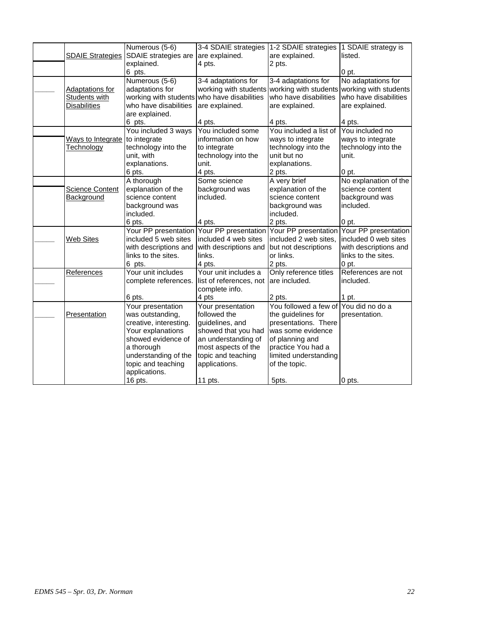|                         | Numerous (5-6)         | 3-4 SDAIE strategies                      | 1-2 SDAIE strategies                  | 1 SDAIE strategy is   |
|-------------------------|------------------------|-------------------------------------------|---------------------------------------|-----------------------|
| <b>SDAIE Strategies</b> | SDAIE strategies are   | are explained.                            | are explained.                        | listed.               |
|                         | explained.             | 4 pts.                                    | 2 pts.                                |                       |
|                         | 6 pts.                 |                                           |                                       | 0 <sub>pt.</sub>      |
|                         | Numerous (5-6)         | 3-4 adaptations for                       | 3-4 adaptations for                   | No adaptations for    |
| <b>Adaptations for</b>  | adaptations for        | working with students                     | working with students                 | working with students |
| Students with           | working with students  | who have disabilities                     | who have disabilities                 | who have disabilities |
| <b>Disabilities</b>     | who have disabilities  | are explained.                            | are explained.                        | are explained.        |
|                         | are explained.         |                                           |                                       |                       |
|                         | 6 pts.                 | 4 pts.                                    | 4 pts.                                | 4 pts.                |
|                         | You included 3 ways    | You included some                         | You included a list of                | You included no       |
| Ways to Integrate       | to integrate           | information on how                        | ways to integrate                     | ways to integrate     |
| Technology              | technology into the    | to integrate                              | technology into the                   | technology into the   |
|                         | unit, with             | technology into the                       | unit but no                           | unit.                 |
|                         | explanations.          | unit.                                     | explanations.                         |                       |
|                         | 6 pts.                 | 4 pts.                                    | 2 pts.                                | 0 pt.                 |
|                         | A thorough             | Some science                              | A very brief                          | No explanation of the |
| <b>Science Content</b>  | explanation of the     | background was                            | explanation of the                    | science content       |
| Background              | science content        | included.                                 | science content                       | background was        |
|                         | background was         |                                           | background was                        | included.             |
|                         | included.              |                                           | included.                             |                       |
|                         | 6 pts.                 | 4 pts.                                    | 2 pts.                                | 0 pt.                 |
|                         |                        | Your PP presentation Your PP presentation | Your PP presentation                  | Your PP presentation  |
| <b>Web Sites</b>        | included 5 web sites   | included 4 web sites                      | included 2 web sites,                 | included 0 web sites  |
|                         | with descriptions and  | with descriptions and                     | but not descriptions                  | with descriptions and |
|                         | links to the sites.    | links.                                    | or links.                             | links to the sites.   |
|                         | 6 pts.                 | 4 pts.                                    | 2 pts.                                | $0$ pt.               |
| References              | Your unit includes     | Your unit includes a                      | Only reference titles                 | References are not    |
|                         | complete references.   | list of references, not                   | are included.                         | included.             |
|                         |                        | complete info.                            |                                       |                       |
|                         | 6 pts.                 | 4 pts                                     | 2 pts.                                | 1 pt.                 |
|                         | Your presentation      | Your presentation                         | You followed a few of You did no do a |                       |
| Presentation            | was outstanding,       | followed the                              | the guidelines for                    | presentation.         |
|                         | creative, interesting. | guidelines, and                           | presentations. There                  |                       |
|                         | Your explanations      | showed that you had                       | was some evidence                     |                       |
|                         | showed evidence of     | an understanding of                       | of planning and                       |                       |
|                         | a thorough             | most aspects of the                       | practice You had a                    |                       |
|                         | understanding of the   | topic and teaching                        | limited understanding                 |                       |
|                         | topic and teaching     | applications.                             | of the topic.                         |                       |
|                         | applications.          |                                           |                                       |                       |
|                         | 16 pts.                | 11 pts.                                   | 5pts.                                 | 0 pts.                |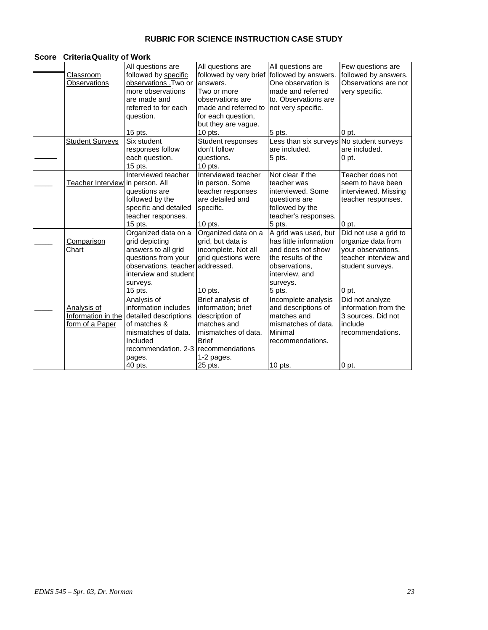# **RUBRIC FOR SCIENCE INSTRUCTION CASE STUDY**

#### **Score CriteriaQuality of Work**

|                                  | All questions are                        | All questions are      | All questions are      | Few questions are     |
|----------------------------------|------------------------------------------|------------------------|------------------------|-----------------------|
| Classroom                        | followed by specific                     | followed by very brief | followed by answers.   | followed by answers.  |
| Observations                     | observations .Two or                     | answers.               | One observation is     | Observations are not  |
|                                  | more observations                        | Two or more            | made and referred      | very specific.        |
|                                  | are made and                             | observations are       | to. Observations are   |                       |
|                                  | referred to for each                     | made and referred to   | not very specific.     |                       |
|                                  | question.                                | for each question,     |                        |                       |
|                                  |                                          | but they are vague.    |                        |                       |
|                                  | $15$ pts.                                | $10$ pts.              | 5 pts.                 | 0 pt.                 |
| <b>Student Surveys</b>           | Six student                              | Student responses      | Less than six surveys  | No student surveys    |
|                                  | responses follow                         | don't follow           | are included.          | are included.         |
|                                  | each question.                           | questions.             | 5 pts.                 | 0 <sub>pt.</sub>      |
|                                  | 15 pts.                                  | $10$ pts.              |                        |                       |
|                                  | Interviewed teacher                      | Interviewed teacher    | Not clear if the       | Teacher does not      |
| Teacher Interview in person. All |                                          | in person. Some        | teacher was            | seem to have been     |
|                                  | questions are                            | teacher responses      | interviewed. Some      | interviewed. Missing  |
|                                  | followed by the                          | are detailed and       | questions are          | teacher responses.    |
|                                  | specific and detailed                    | specific.              | followed by the        |                       |
|                                  | teacher responses.                       |                        | teacher's responses.   |                       |
|                                  | 15 pts.                                  | $10$ pts.              | 5 pts.                 | 0 pt.                 |
|                                  | Organized data on a                      | Organized data on a    | A grid was used, but   | Did not use a grid to |
| Comparison                       | grid depicting                           | grid, but data is      | has little information | organize data from    |
| Chart                            | answers to all grid                      | incomplete. Not all    | and does not show      | your observations,    |
|                                  | questions from your                      | grid questions were    | the results of the     | teacher interview and |
|                                  | observations, teacher                    | addressed.             | observations,          | student surveys.      |
|                                  | interview and student                    |                        | interview, and         |                       |
|                                  | surveys.                                 |                        | surveys.               |                       |
|                                  | 15 pts.                                  | 10 pts.                | 5 pts.                 | 0 pt.                 |
|                                  | Analysis of                              | Brief analysis of      | Incomplete analysis    | Did not analyze       |
| Analysis of                      | information includes                     | information; brief     | and descriptions of    | information from the  |
|                                  | Information in the detailed descriptions | description of         | matches and            | 3 sources. Did not    |
| form of a Paper                  | of matches &                             | matches and            | mismatches of data.    | include               |
|                                  | mismatches of data.                      | mismatches of data.    | Minimal                | recommendations.      |
|                                  | Included                                 | <b>Brief</b>           | recommendations.       |                       |
|                                  | recommendation, 2-3                      | recommendations        |                        |                       |
|                                  | pages.                                   | 1-2 pages.             |                        |                       |
|                                  | 40 pts.                                  | 25 pts.                | $10$ pts.              | 0 pt.                 |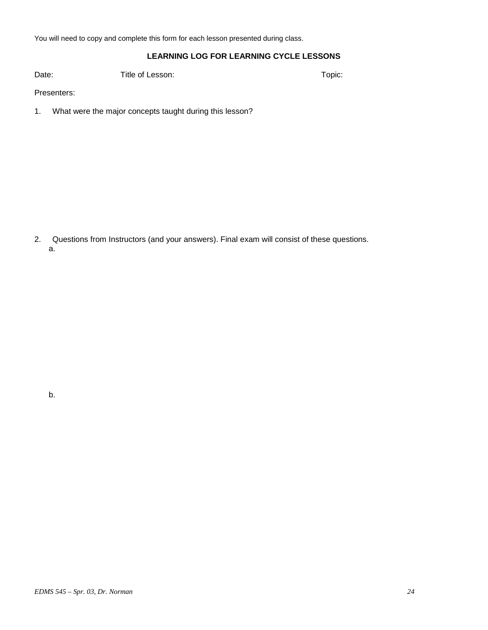You will need to copy and complete this form for each lesson presented during class.

## **LEARNING LOG FOR LEARNING CYCLE LESSONS**

Date: Title of Lesson: The Context of Lesson: Topic:

Presenters:

1. What were the major concepts taught during this lesson?

2. Questions from Instructors (and your answers). Final exam will consist of these questions. a.

b.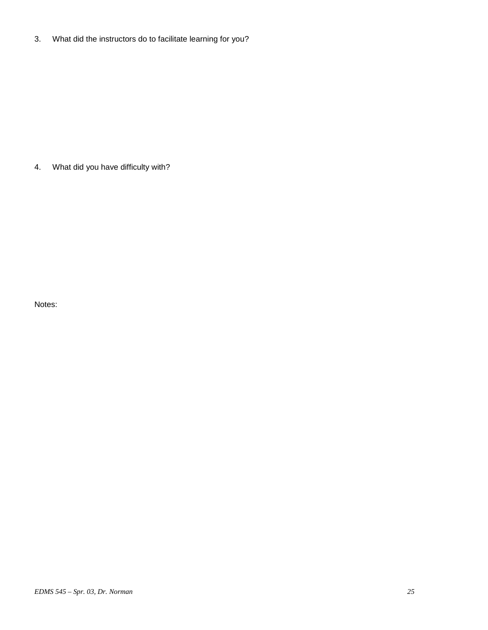3. What did the instructors do to facilitate learning for you?

4. What did you have difficulty with?

Notes: